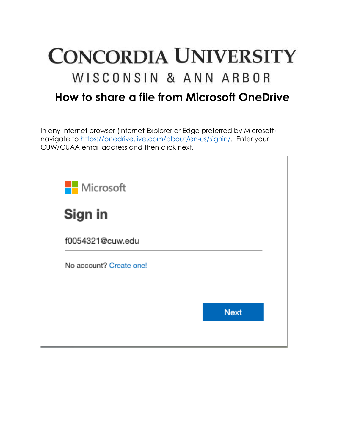

In any Internet browser (Internet Explorer or Edge preferred by Microsoft) navigate to [https://onedrive.live.com/about/en-us/signin/.](https://onedrive.live.com/about/en-us/signin/) Enter your CUW/CUAA email address and then click next.





f0054321@cuw.edu

No account? Create one!

**Next**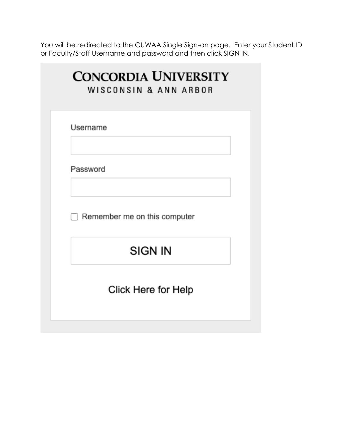You will be redirected to the CUWAA Single Sign-on page. Enter your Student ID or Faculty/Staff Username and password and then click SIGN IN.

| <b>CONCORDIA UNIVERSITY</b><br>WISCONSIN & ANN ARBOR |  |  |  |
|------------------------------------------------------|--|--|--|
| Username                                             |  |  |  |
| Password                                             |  |  |  |
| Remember me on this computer                         |  |  |  |
| SIGN IN                                              |  |  |  |
| Click Here for Help                                  |  |  |  |
|                                                      |  |  |  |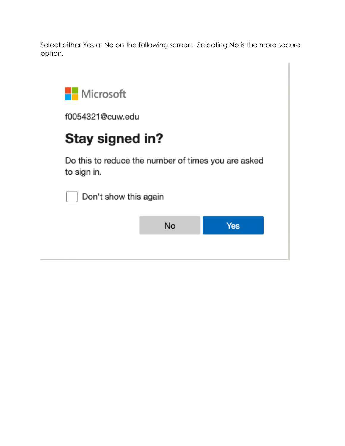Select either Yes or No on the following screen. Selecting No is the more secure option.



f0054321@cuw.edu

## Stay signed in?

Do this to reduce the number of times you are asked to sign in.



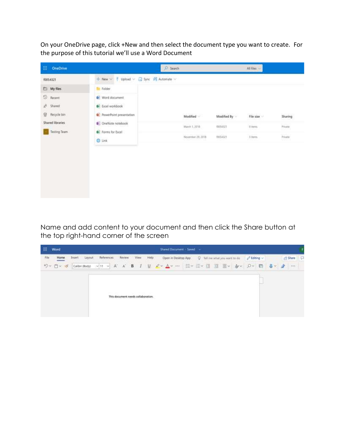On your OneDrive page, click +New and then select the document type you want to create. For the purpose of this tutorial we'll use a Word Document

| ₩.<br>OneDrive                                  |                                                                                                       | $D$ Search                                     |                                     | All files                           |                   |
|-------------------------------------------------|-------------------------------------------------------------------------------------------------------|------------------------------------------------|-------------------------------------|-------------------------------------|-------------------|
| 10054321                                        | $+$ New $-$<br>革<br>Upload v                                                                          | Sync St Automate V                             |                                     |                                     |                   |
| $\Box$ My files                                 | <b>The Folder</b>                                                                                     |                                                |                                     |                                     |                   |
| O<br>Recent<br>R.<br>Shared<br>冒<br>Recycle bin | Word document<br><b>B</b> Excel workbook<br>나만 아니라 이 아이를 보여 주었다.<br><b>D.</b> PowerPoint presentation | Modified                                       | Modified By                         | File size<br><b>REAL PROPERTY</b>   | Sharing           |
| Shared libraries                                | OneNote notebook                                                                                      | <b>PRESENTADE</b><br>March 1,2016<br>1999/1999 | <b>KIDSON</b><br>10054321<br>112036 | <b>COMMENT</b><br>0 litera<br>nasar | Private<br>96933  |
| Testing Team                                    | <b>B</b> Forms for Excel<br><b>D</b> Link                                                             | November 29, 2018                              | <b>INSURES</b><br>10054323          | $3$ flams                           | Private<br>Waarii |
|                                                 |                                                                                                       |                                                |                                     |                                     |                   |

Name and add content to your document and then click the Share button at the top right-hand corner of the screen

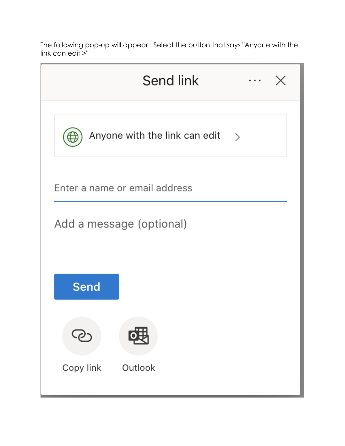The following pop-up will appear. Select the button that says "Anyone with the link can edit >"

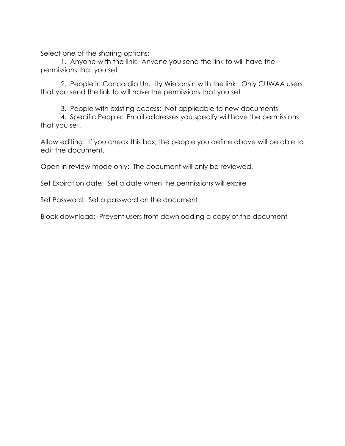Select one of the sharing options:

1. Anyone with the link: Anyone you send the link to will have the permissions that you set

2. People in Concordia Un…ity Wisconsin with the link: Only CUWAA users that you send the link to will have the permissions that you set

3. People with existing access: Not applicable to new documents

4. Specific People: Email addresses you specify will have the permissions that you set.

Allow editing: If you check this box, the people you define above will be able to edit the document.

Open in review mode only: The document will only be reviewed.

Set Expiration date: Set a date when the permissions will expire

Set Password: Set a password on the document

Block download: Prevent users from downloading a copy of the document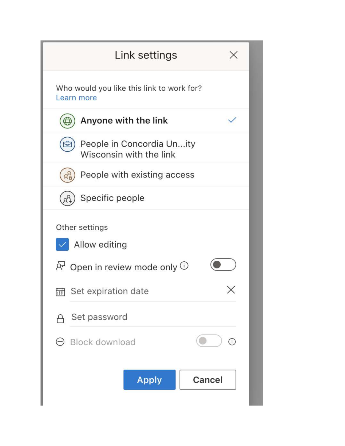| Link settings                                                                                                                                        |   |
|------------------------------------------------------------------------------------------------------------------------------------------------------|---|
| Who would you like this link to work for?<br>Learn more                                                                                              |   |
| Anyone with the link                                                                                                                                 |   |
| People in Concordia Unity<br>Wisconsin with the link                                                                                                 |   |
| People with existing access                                                                                                                          |   |
| Specific people                                                                                                                                      |   |
| Other settings<br>Allow editing<br>$R^1$ Open in review mode only $\cup$<br><b>in</b> Set expiration date<br>Set password<br>$\Theta$ Block download | ⊙ |
| <b>Apply</b><br>Cancel                                                                                                                               |   |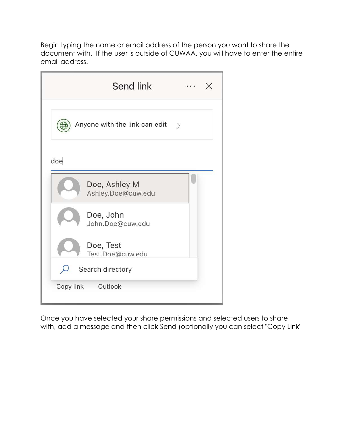Begin typing the name or email address of the person you want to share the document with. If the user is outside of CUWAA, you will have to enter the entire email address.

| Send link                                      |  |
|------------------------------------------------|--|
| Anyone with the link can edit<br>$\rightarrow$ |  |
| doe                                            |  |
| Doe, Ashley M<br>Ashley.Doe@cuw.edu            |  |
| Doe, John<br>John.Doe@cuw.edu                  |  |
| Doe, Test<br>Test.Doe@cuw.edu                  |  |
| Search directory                               |  |
| Outlook<br>Copy link                           |  |

Once you have selected your share permissions and selected users to share with, add a message and then click Send (optionally you can select "Copy Link"